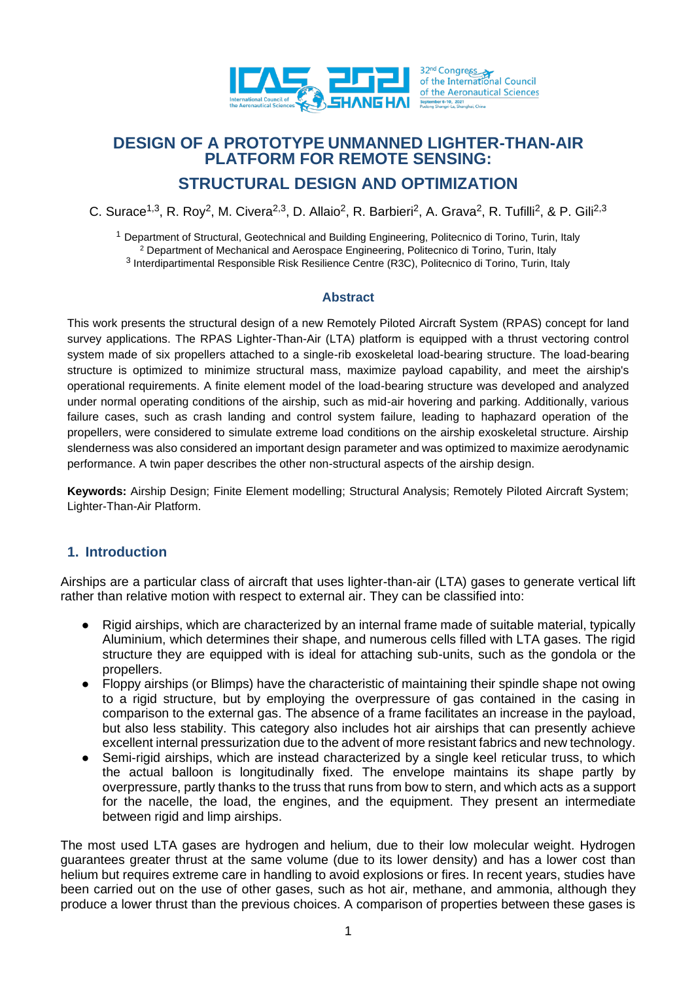

# **DESIGN OF A PROTOTYPE UNMANNED LIGHTER-THAN-AIR PLATFORM FOR REMOTE SENSING: STRUCTURAL DESIGN AND OPTIMIZATION**

C. Surace<sup>1,3</sup>, R. Roy<sup>2</sup>, M. Civera<sup>2,3</sup>, D. Allaio<sup>2</sup>, R. Barbieri<sup>2</sup>, A. Grava<sup>2</sup>, R. Tufilli<sup>2</sup>, & P. Gili<sup>2,3</sup>

<sup>1</sup> Department of Structural, Geotechnical and Building Engineering, Politecnico di Torino, Turin, Italy <sup>2</sup> Department of Mechanical and Aerospace Engineering, Politecnico di Torino, Turin, Italy <sup>3</sup> Interdipartimental Responsible Risk Resilience Centre (R3C), Politecnico di Torino, Turin, Italy

#### **Abstract**

This work presents the structural design of a new Remotely Piloted Aircraft System (RPAS) concept for land survey applications. The RPAS Lighter-Than-Air (LTA) platform is equipped with a thrust vectoring control system made of six propellers attached to a single-rib exoskeletal load-bearing structure. The load-bearing structure is optimized to minimize structural mass, maximize payload capability, and meet the airship's operational requirements. A finite element model of the load-bearing structure was developed and analyzed under normal operating conditions of the airship, such as mid-air hovering and parking. Additionally, various failure cases, such as crash landing and control system failure, leading to haphazard operation of the propellers, were considered to simulate extreme load conditions on the airship exoskeletal structure. Airship slenderness was also considered an important design parameter and was optimized to maximize aerodynamic performance. A twin paper describes the other non-structural aspects of the airship design.

**Keywords:** Airship Design; Finite Element modelling; Structural Analysis; Remotely Piloted Aircraft System; Lighter-Than-Air Platform.

## **1. Introduction**

Airships are a particular class of aircraft that uses lighter-than-air (LTA) gases to generate vertical lift rather than relative motion with respect to external air. They can be classified into:

- Rigid airships, which are characterized by an internal frame made of suitable material, typically Aluminium, which determines their shape, and numerous cells filled with LTA gases. The rigid structure they are equipped with is ideal for attaching sub-units, such as the gondola or the propellers.
- Floppy airships (or Blimps) have the characteristic of maintaining their spindle shape not owing to a rigid structure, but by employing the overpressure of gas contained in the casing in comparison to the external gas. The absence of a frame facilitates an increase in the payload, but also less stability. This category also includes hot air airships that can presently achieve excellent internal pressurization due to the advent of more resistant fabrics and new technology.
- Semi-rigid airships, which are instead characterized by a single keel reticular truss, to which the actual balloon is longitudinally fixed. The envelope maintains its shape partly by overpressure, partly thanks to the truss that runs from bow to stern, and which acts as a support for the nacelle, the load, the engines, and the equipment. They present an intermediate between rigid and limp airships.

The most used LTA gases are hydrogen and helium, due to their low molecular weight. Hydrogen guarantees greater thrust at the same volume (due to its lower density) and has a lower cost than helium but requires extreme care in handling to avoid explosions or fires. In recent years, studies have been carried out on the use of other gases, such as hot air, methane, and ammonia, although they produce a lower thrust than the previous choices. A comparison of properties between these gases is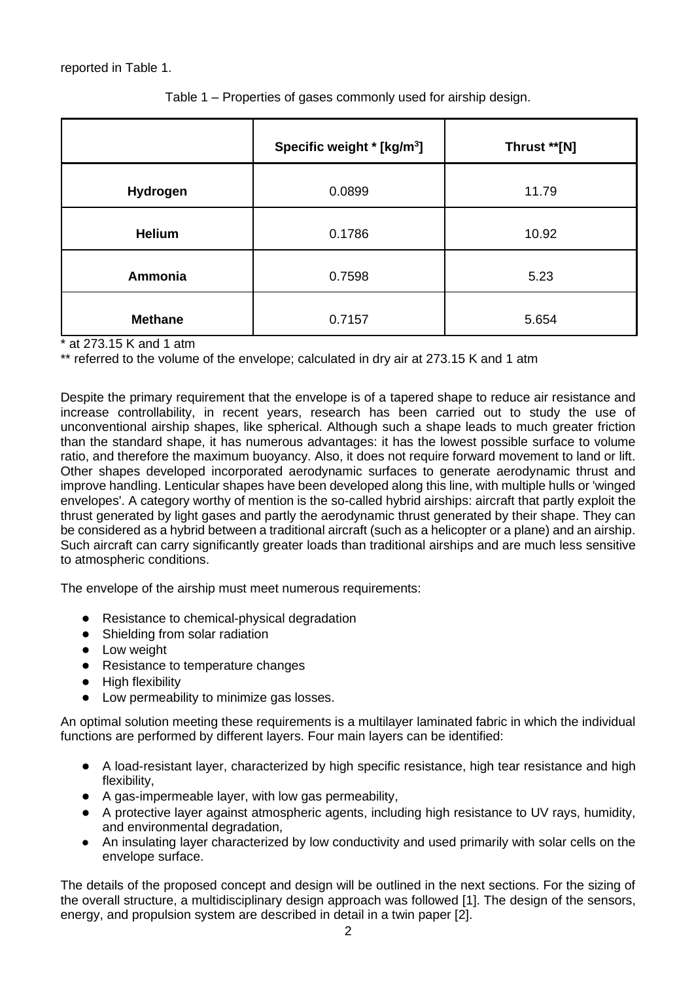reported in Table 1.

|                | Specific weight * [kg/m <sup>3</sup> ] | Thrust **[N] |
|----------------|----------------------------------------|--------------|
| Hydrogen       | 0.0899                                 | 11.79        |
| <b>Helium</b>  | 0.1786                                 | 10.92        |
| Ammonia        | 0.7598                                 | 5.23         |
| <b>Methane</b> | 0.7157                                 | 5.654        |

Table 1 – Properties of gases commonly used for airship design.

\* at 273.15 K and 1 atm

\*\* referred to the volume of the envelope; calculated in dry air at 273.15 K and 1 atm

Despite the primary requirement that the envelope is of a tapered shape to reduce air resistance and increase controllability, in recent years, research has been carried out to study the use of unconventional airship shapes, like spherical. Although such a shape leads to much greater friction than the standard shape, it has numerous advantages: it has the lowest possible surface to volume ratio, and therefore the maximum buoyancy. Also, it does not require forward movement to land or lift. Other shapes developed incorporated aerodynamic surfaces to generate aerodynamic thrust and improve handling. Lenticular shapes have been developed along this line, with multiple hulls or 'winged envelopes'. A category worthy of mention is the so-called hybrid airships: aircraft that partly exploit the thrust generated by light gases and partly the aerodynamic thrust generated by their shape. They can be considered as a hybrid between a traditional aircraft (such as a helicopter or a plane) and an airship. Such aircraft can carry significantly greater loads than traditional airships and are much less sensitive to atmospheric conditions.

The envelope of the airship must meet numerous requirements:

- Resistance to chemical-physical degradation
- Shielding from solar radiation
- Low weight
- Resistance to temperature changes
- High flexibility
- Low permeability to minimize gas losses.

An optimal solution meeting these requirements is a multilayer laminated fabric in which the individual functions are performed by different layers. Four main layers can be identified:

- A load-resistant layer, characterized by high specific resistance, high tear resistance and high flexibility,
- A gas-impermeable layer, with low gas permeability,
- A protective layer against atmospheric agents, including high resistance to UV rays, humidity, and environmental degradation,
- An insulating layer characterized by low conductivity and used primarily with solar cells on the envelope surface.

The details of the proposed concept and design will be outlined in the next sections. For the sizing of the overall structure, a multidisciplinary design approach was followed [1]. The design of the sensors, energy, and propulsion system are described in detail in a twin paper [2].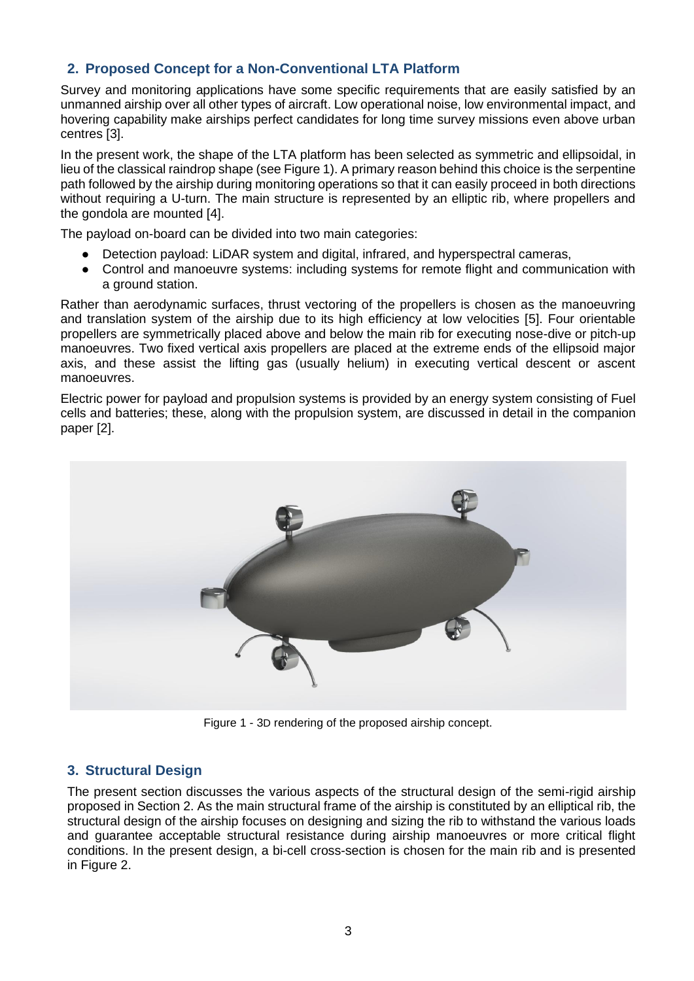## **2. Proposed Concept for a Non-Conventional LTA Platform**

Survey and monitoring applications have some specific requirements that are easily satisfied by an unmanned airship over all other types of aircraft. Low operational noise, low environmental impact, and hovering capability make airships perfect candidates for long time survey missions even above urban centres [3].

In the present work, the shape of the LTA platform has been selected as symmetric and ellipsoidal, in lieu of the classical raindrop shape (see Figure 1). A primary reason behind this choice is the serpentine path followed by the airship during monitoring operations so that it can easily proceed in both directions without requiring a U-turn. The main structure is represented by an elliptic rib, where propellers and the gondola are mounted [4].

The payload on-board can be divided into two main categories:

- Detection payload: LiDAR system and digital, infrared, and hyperspectral cameras,
- Control and manoeuvre systems: including systems for remote flight and communication with a ground station.

Rather than aerodynamic surfaces, thrust vectoring of the propellers is chosen as the manoeuvring and translation system of the airship due to its high efficiency at low velocities [5]. Four orientable propellers are symmetrically placed above and below the main rib for executing nose-dive or pitch-up manoeuvres. Two fixed vertical axis propellers are placed at the extreme ends of the ellipsoid major axis, and these assist the lifting gas (usually helium) in executing vertical descent or ascent manoeuvres.

Electric power for payload and propulsion systems is provided by an energy system consisting of Fuel cells and batteries; these, along with the propulsion system, are discussed in detail in the companion paper [2].



Figure 1 - 3D rendering of the proposed airship concept.

## **3. Structural Design**

The present section discusses the various aspects of the structural design of the semi-rigid airship proposed in Section 2. As the main structural frame of the airship is constituted by an elliptical rib, the structural design of the airship focuses on designing and sizing the rib to withstand the various loads and guarantee acceptable structural resistance during airship manoeuvres or more critical flight conditions. In the present design, a bi-cell cross-section is chosen for the main rib and is presented in Figure 2.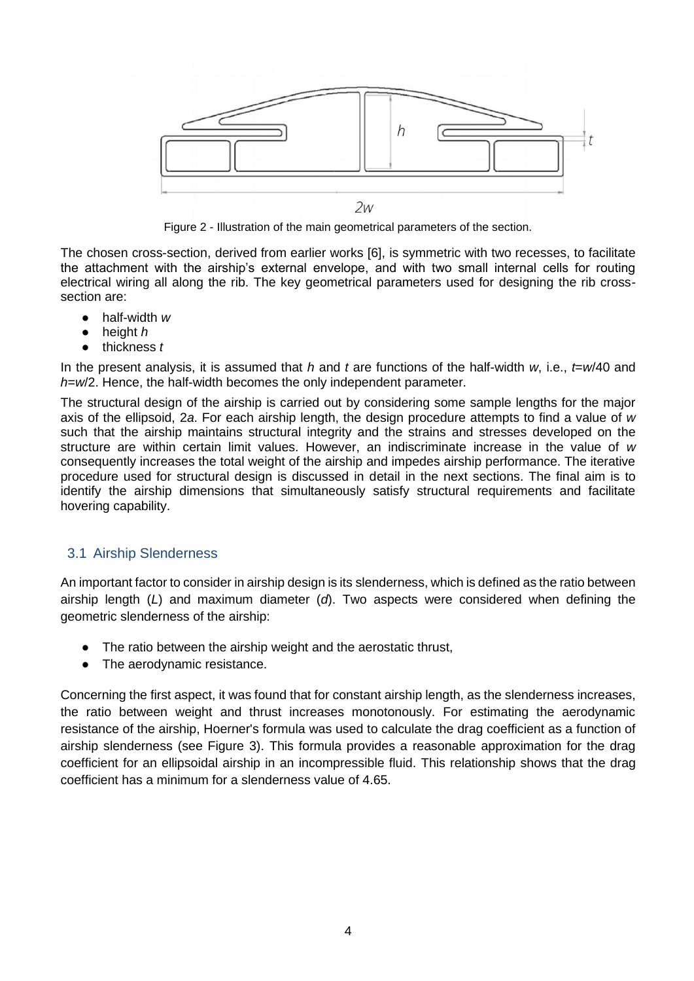

Figure 2 - Illustration of the main geometrical parameters of the section.

The chosen cross-section, derived from earlier works [6], is symmetric with two recesses, to facilitate the attachment with the airship's external envelope, and with two small internal cells for routing electrical wiring all along the rib. The key geometrical parameters used for designing the rib crosssection are:

- half-width *w*
- height *h*
- thickness *t*

In the present analysis, it is assumed that *h* and *t* are functions of the half-width *w*, i.e., *t*=*w*/40 and *h*=*w*/2. Hence, the half-width becomes the only independent parameter.

The structural design of the airship is carried out by considering some sample lengths for the major axis of the ellipsoid, 2*a*. For each airship length, the design procedure attempts to find a value of *w* such that the airship maintains structural integrity and the strains and stresses developed on the structure are within certain limit values. However, an indiscriminate increase in the value of *w* consequently increases the total weight of the airship and impedes airship performance. The iterative procedure used for structural design is discussed in detail in the next sections. The final aim is to identify the airship dimensions that simultaneously satisfy structural requirements and facilitate hovering capability.

#### 3.1 Airship Slenderness

An important factor to consider in airship design is its slenderness, which is defined as the ratio between airship length (*L*) and maximum diameter (*d*). Two aspects were considered when defining the geometric slenderness of the airship:

- The ratio between the airship weight and the aerostatic thrust,
- The aerodynamic resistance.

Concerning the first aspect, it was found that for constant airship length, as the slenderness increases, the ratio between weight and thrust increases monotonously. For estimating the aerodynamic resistance of the airship, Hoerner's formula was used to calculate the drag coefficient as a function of airship slenderness (see Figure 3). This formula provides a reasonable approximation for the drag coefficient for an ellipsoidal airship in an incompressible fluid. This relationship shows that the drag coefficient has a minimum for a slenderness value of 4.65.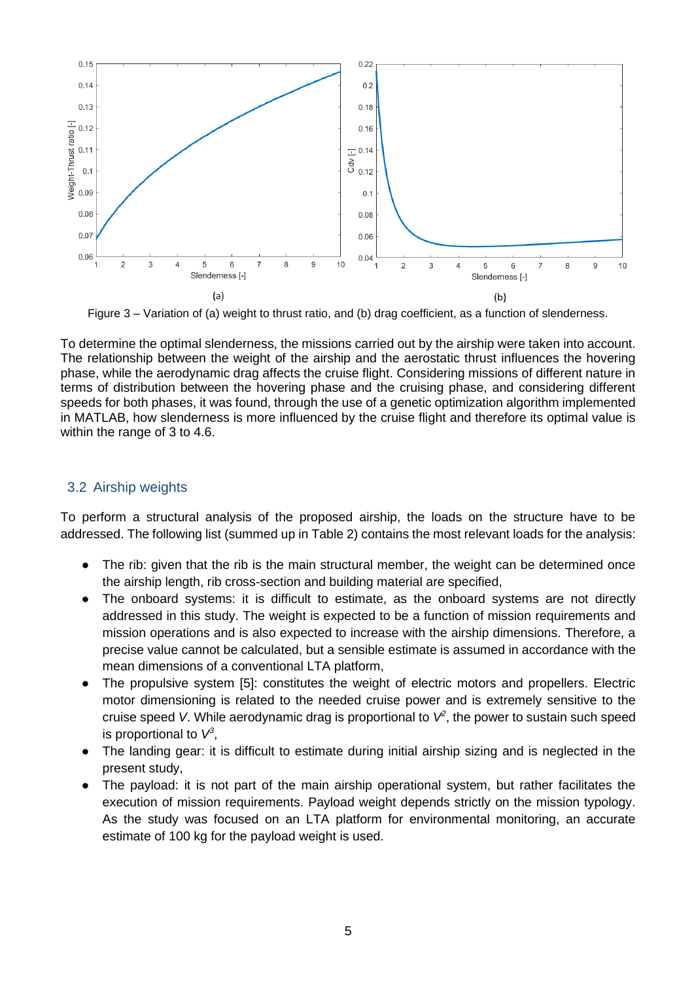

Figure 3 – Variation of (a) weight to thrust ratio, and (b) drag coefficient, as a function of slenderness.

To determine the optimal slenderness, the missions carried out by the airship were taken into account. The relationship between the weight of the airship and the aerostatic thrust influences the hovering phase, while the aerodynamic drag affects the cruise flight. Considering missions of different nature in terms of distribution between the hovering phase and the cruising phase, and considering different speeds for both phases, it was found, through the use of a genetic optimization algorithm implemented in MATLAB, how slenderness is more influenced by the cruise flight and therefore its optimal value is within the range of 3 to 4.6.

### 3.2 Airship weights

To perform a structural analysis of the proposed airship, the loads on the structure have to be addressed. The following list (summed up in Table 2) contains the most relevant loads for the analysis:

- The rib: given that the rib is the main structural member, the weight can be determined once the airship length, rib cross-section and building material are specified,
- The onboard systems: it is difficult to estimate, as the onboard systems are not directly addressed in this study. The weight is expected to be a function of mission requirements and mission operations and is also expected to increase with the airship dimensions. Therefore, a precise value cannot be calculated, but a sensible estimate is assumed in accordance with the mean dimensions of a conventional LTA platform,
- The propulsive system [5]: constitutes the weight of electric motors and propellers. Electric motor dimensioning is related to the needed cruise power and is extremely sensitive to the cruise speed V. While aerodynamic drag is proportional to  $V^2$ , the power to sustain such speed is proportional to  $V^3$ ,
- The landing gear: it is difficult to estimate during initial airship sizing and is neglected in the present study,
- The payload: it is not part of the main airship operational system, but rather facilitates the execution of mission requirements. Payload weight depends strictly on the mission typology. As the study was focused on an LTA platform for environmental monitoring, an accurate estimate of 100 kg for the payload weight is used.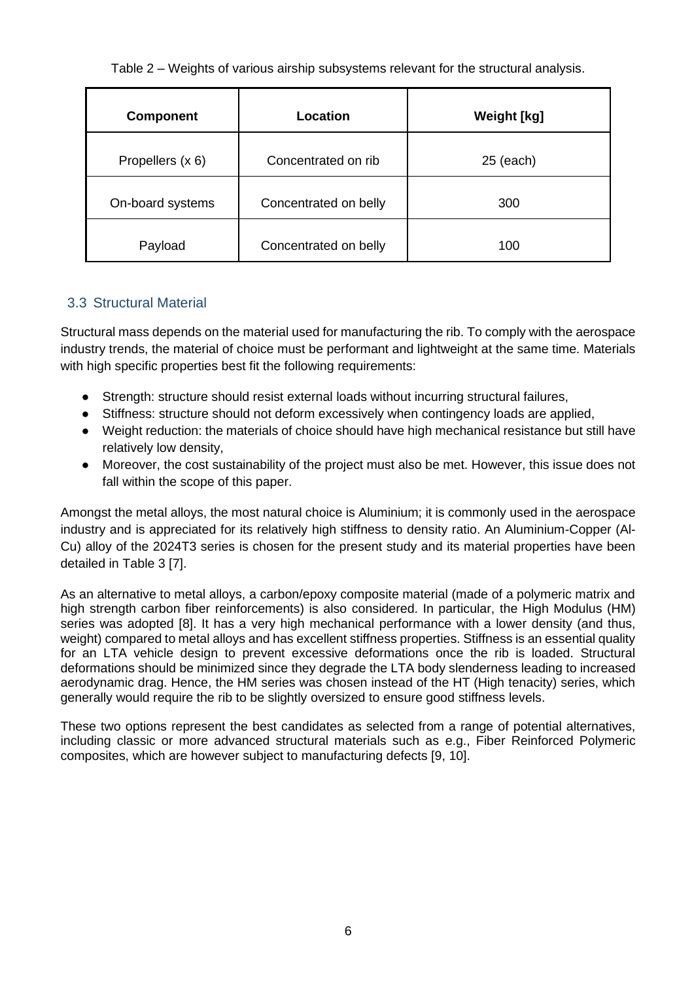Table 2 – Weights of various airship subsystems relevant for the structural analysis.

| <b>Component</b> | Location              | <b>Weight [kg]</b> |
|------------------|-----------------------|--------------------|
| Propellers (x 6) | Concentrated on rib   | $25$ (each)        |
| On-board systems | Concentrated on belly | 300                |
| Payload          | Concentrated on belly | 100                |

## 3.3 Structural Material

Structural mass depends on the material used for manufacturing the rib. To comply with the aerospace industry trends, the material of choice must be performant and lightweight at the same time. Materials with high specific properties best fit the following requirements:

- Strength: structure should resist external loads without incurring structural failures,
- Stiffness: structure should not deform excessively when contingency loads are applied,
- Weight reduction: the materials of choice should have high mechanical resistance but still have relatively low density,
- Moreover, the cost sustainability of the project must also be met. However, this issue does not fall within the scope of this paper.

Amongst the metal alloys, the most natural choice is Aluminium; it is commonly used in the aerospace industry and is appreciated for its relatively high stiffness to density ratio. An Aluminium-Copper (Al-Cu) alloy of the 2024T3 series is chosen for the present study and its material properties have been detailed in Table 3 [7].

As an alternative to metal alloys, a carbon/epoxy composite material (made of a polymeric matrix and high strength carbon fiber reinforcements) is also considered. In particular, the High Modulus (HM) series was adopted [8]. It has a very high mechanical performance with a lower density (and thus, weight) compared to metal alloys and has excellent stiffness properties. Stiffness is an essential quality for an LTA vehicle design to prevent excessive deformations once the rib is loaded. Structural deformations should be minimized since they degrade the LTA body slenderness leading to increased aerodynamic drag. Hence, the HM series was chosen instead of the HT (High tenacity) series, which generally would require the rib to be slightly oversized to ensure good stiffness levels.

These two options represent the best candidates as selected from a range of potential alternatives, including classic or more advanced structural materials such as e.g., Fiber Reinforced Polymeric composites, which are however subject to manufacturing defects [9, 10].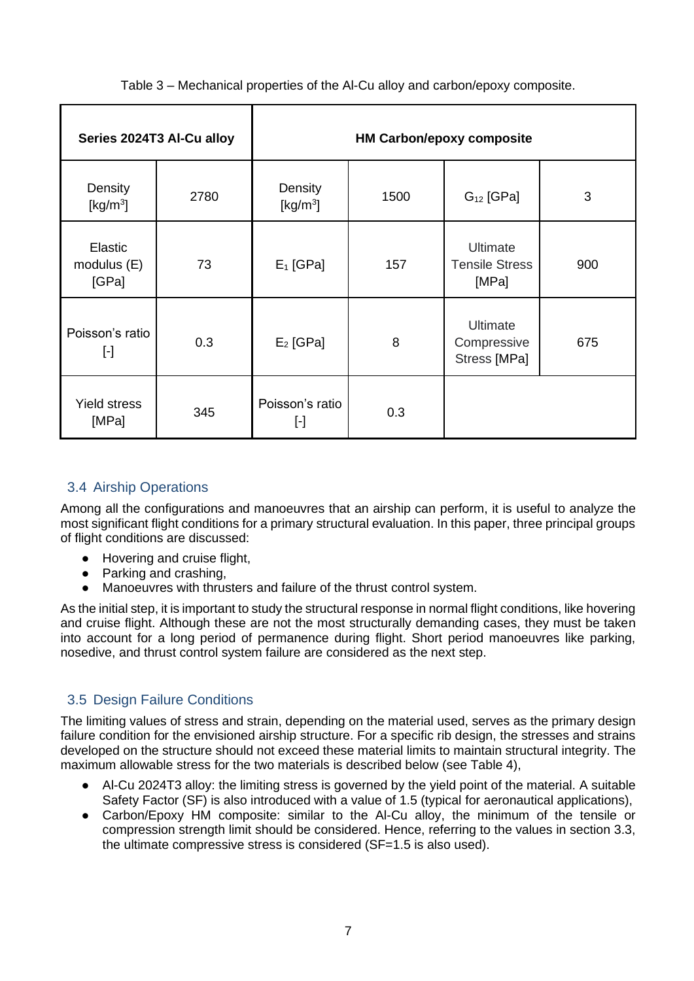Table 3 – Mechanical properties of the Al-Cu alloy and carbon/epoxy composite.

|                                 | Series 2024T3 Al-Cu alloy |                        |      | <b>HM Carbon/epoxy composite</b>               |     |
|---------------------------------|---------------------------|------------------------|------|------------------------------------------------|-----|
| Density<br>[ $kg/m3$ ]          | 2780                      | Density<br>[ $kg/m3$ ] | 1500 | $G_{12}$ [GPa]                                 | 3   |
| Elastic<br>modulus (E)<br>[GPa] | 73                        | $E_1$ [GPa]            | 157  | Ultimate<br><b>Tensile Stress</b><br>[MPa]     | 900 |
| Poisson's ratio<br>$[\cdot]$    | 0.3                       | $E_2$ [GPa]            | 8    | <b>Ultimate</b><br>Compressive<br>Stress [MPa] | 675 |
| <b>Yield stress</b><br>[MPa]    | 345                       | Poisson's ratio<br>ŀ   | 0.3  |                                                |     |

# 3.4 Airship Operations

Among all the configurations and manoeuvres that an airship can perform, it is useful to analyze the most significant flight conditions for a primary structural evaluation. In this paper, three principal groups of flight conditions are discussed:

- Hovering and cruise flight,
- Parking and crashing,
- Manoeuvres with thrusters and failure of the thrust control system.

As the initial step, it is important to study the structural response in normal flight conditions, like hovering and cruise flight. Although these are not the most structurally demanding cases, they must be taken into account for a long period of permanence during flight. Short period manoeuvres like parking, nosedive, and thrust control system failure are considered as the next step.

# 3.5 Design Failure Conditions

The limiting values of stress and strain, depending on the material used, serves as the primary design failure condition for the envisioned airship structure. For a specific rib design, the stresses and strains developed on the structure should not exceed these material limits to maintain structural integrity. The maximum allowable stress for the two materials is described below (see Table 4),

- Al-Cu 2024T3 alloy: the limiting stress is governed by the yield point of the material. A suitable Safety Factor (SF) is also introduced with a value of 1.5 (typical for aeronautical applications),
- Carbon/Epoxy HM composite: similar to the Al-Cu alloy, the minimum of the tensile or compression strength limit should be considered. Hence, referring to the values in section 3.3, the ultimate compressive stress is considered (SF=1.5 is also used).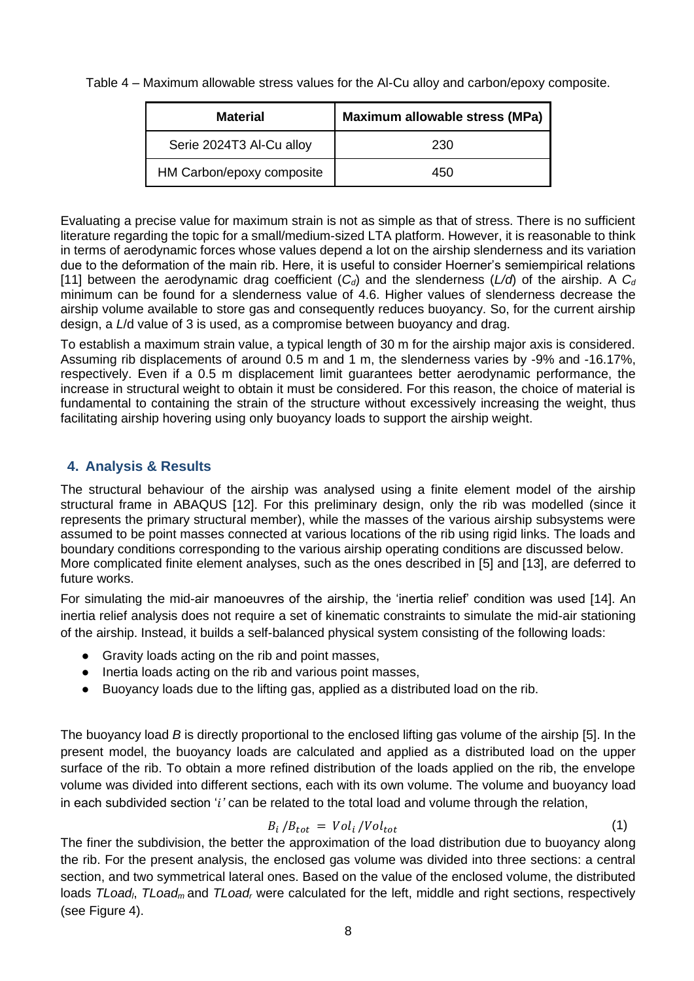Table 4 – Maximum allowable stress values for the Al-Cu alloy and carbon/epoxy composite.

| <b>Material</b>           | Maximum allowable stress (MPa) |
|---------------------------|--------------------------------|
| Serie 2024T3 Al-Cu alloy  | 230                            |
| HM Carbon/epoxy composite | 450                            |

Evaluating a precise value for maximum strain is not as simple as that of stress. There is no sufficient literature regarding the topic for a small/medium-sized LTA platform. However, it is reasonable to think in terms of aerodynamic forces whose values depend a lot on the airship slenderness and its variation due to the deformation of the main rib. Here, it is useful to consider Hoerner's semiempirical relations [11] between the aerodynamic drag coefficient  $(C_d)$  and the slenderness  $(L/d)$  of the airship. A  $C_d$ minimum can be found for a slenderness value of 4.6. Higher values of slenderness decrease the airship volume available to store gas and consequently reduces buoyancy. So, for the current airship design, a *L*/d value of 3 is used, as a compromise between buoyancy and drag.

To establish a maximum strain value, a typical length of 30 m for the airship major axis is considered. Assuming rib displacements of around 0.5 m and 1 m, the slenderness varies by -9% and -16.17%, respectively. Even if a 0.5 m displacement limit guarantees better aerodynamic performance, the increase in structural weight to obtain it must be considered. For this reason, the choice of material is fundamental to containing the strain of the structure without excessively increasing the weight, thus facilitating airship hovering using only buoyancy loads to support the airship weight.

## **4. Analysis & Results**

The structural behaviour of the airship was analysed using a finite element model of the airship structural frame in ABAQUS [12]. For this preliminary design, only the rib was modelled (since it represents the primary structural member), while the masses of the various airship subsystems were assumed to be point masses connected at various locations of the rib using rigid links. The loads and boundary conditions corresponding to the various airship operating conditions are discussed below. More complicated finite element analyses, such as the ones described in [5] and [13], are deferred to future works.

For simulating the mid-air manoeuvres of the airship, the 'inertia relief' condition was used [14]. An inertia relief analysis does not require a set of kinematic constraints to simulate the mid-air stationing of the airship. Instead, it builds a self-balanced physical system consisting of the following loads:

- Gravity loads acting on the rib and point masses,
- Inertia loads acting on the rib and various point masses,
- Buoyancy loads due to the lifting gas, applied as a distributed load on the rib.

The buoyancy load *B* is directly proportional to the enclosed lifting gas volume of the airship [5]. In the present model, the buoyancy loads are calculated and applied as a distributed load on the upper surface of the rib. To obtain a more refined distribution of the loads applied on the rib, the envelope volume was divided into different sections, each with its own volume. The volume and buoyancy load in each subdivided section '*'* can be related to the total load and volume through the relation,

$$
B_i/B_{tot} = Vol_i/Vol_{tot}
$$
 (1)

The finer the subdivision, the better the approximation of the load distribution due to buoyancy along the rib. For the present analysis, the enclosed gas volume was divided into three sections: a central section, and two symmetrical lateral ones. Based on the value of the enclosed volume, the distributed loads *TLoadl*, *TLoad<sup>m</sup>* and *TLoad<sup>r</sup>* were calculated for the left, middle and right sections, respectively (see Figure 4).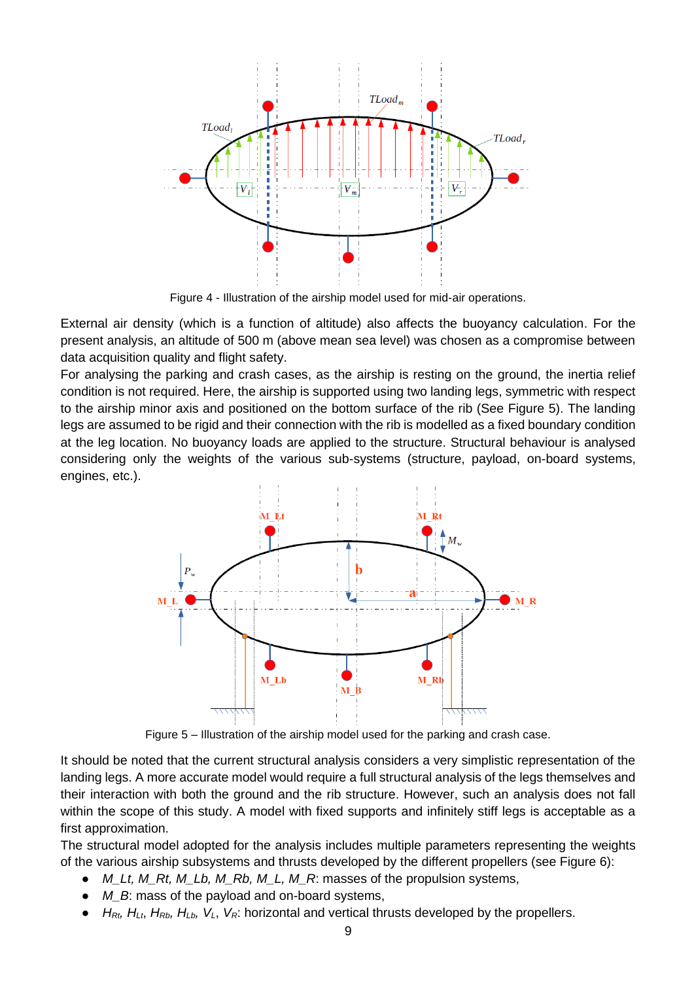

Figure 4 - Illustration of the airship model used for mid-air operations.

External air density (which is a function of altitude) also affects the buoyancy calculation. For the present analysis, an altitude of 500 m (above mean sea level) was chosen as a compromise between data acquisition quality and flight safety.

For analysing the parking and crash cases, as the airship is resting on the ground, the inertia relief condition is not required. Here, the airship is supported using two landing legs, symmetric with respect to the airship minor axis and positioned on the bottom surface of the rib (See Figure 5). The landing legs are assumed to be rigid and their connection with the rib is modelled as a fixed boundary condition at the leg location. No buoyancy loads are applied to the structure. Structural behaviour is analysed considering only the weights of the various sub-systems (structure, payload, on-board systems, engines, etc.).



Figure 5 – Illustration of the airship model used for the parking and crash case.

It should be noted that the current structural analysis considers a very simplistic representation of the landing legs. A more accurate model would require a full structural analysis of the legs themselves and their interaction with both the ground and the rib structure. However, such an analysis does not fall within the scope of this study. A model with fixed supports and infinitely stiff legs is acceptable as a first approximation.

The structural model adopted for the analysis includes multiple parameters representing the weights of the various airship subsystems and thrusts developed by the different propellers (see Figure 6):

- *M\_Lt, M\_Rt, M\_Lb, M\_Rb, M\_L, M\_R*: masses of the propulsion systems,
- *M\_B*: mass of the payload and on-board systems,
- $\bullet$  *H*<sub>Rt</sub>, *H*<sub>Lt</sub>, *H*<sub>Rb</sub>, *H*<sub>Lb</sub>, *V*<sub>L</sub>, *V*<sub>R</sub>: horizontal and vertical thrusts developed by the propellers.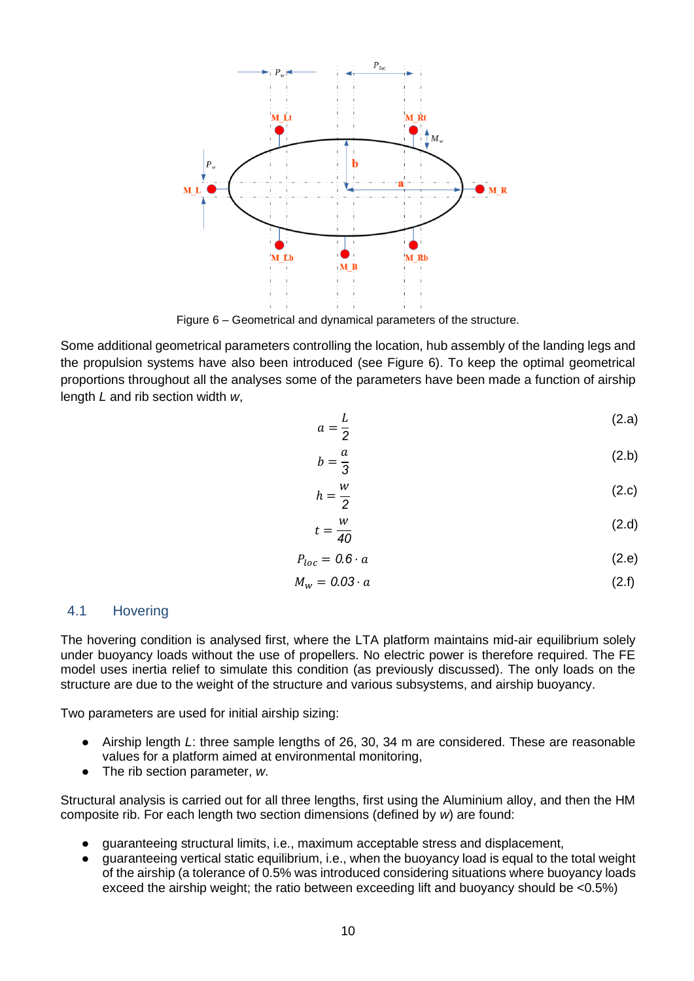

Figure 6 – Geometrical and dynamical parameters of the structure.

Some additional geometrical parameters controlling the location, hub assembly of the landing legs and the propulsion systems have also been introduced (see Figure 6). To keep the optimal geometrical proportions throughout all the analyses some of the parameters have been made a function of airship length *L* and rib section width *w*,

$$
a = \frac{L}{2} \tag{2.a}
$$

$$
b = \frac{a}{3} \tag{2.b}
$$

$$
h = \frac{w}{2} \tag{2.c}
$$

$$
t = \frac{w}{40} \tag{2.d}
$$

$$
P_{loc} = 0.6 \cdot a \tag{2.e}
$$

$$
M_w = 0.03 \cdot a \tag{2.1}
$$

#### 4.1 Hovering

The hovering condition is analysed first, where the LTA platform maintains mid-air equilibrium solely under buoyancy loads without the use of propellers. No electric power is therefore required. The FE model uses inertia relief to simulate this condition (as previously discussed). The only loads on the structure are due to the weight of the structure and various subsystems, and airship buoyancy.

Two parameters are used for initial airship sizing:

- Airship length *L*: three sample lengths of 26, 30, 34 m are considered. These are reasonable values for a platform aimed at environmental monitoring,
- The rib section parameter, *w*.

Structural analysis is carried out for all three lengths, first using the Aluminium alloy, and then the HM composite rib. For each length two section dimensions (defined by *w*) are found:

- guaranteeing structural limits, i.e., maximum acceptable stress and displacement,
- guaranteeing vertical static equilibrium, i.e., when the buoyancy load is equal to the total weight of the airship (a tolerance of 0.5% was introduced considering situations where buoyancy loads exceed the airship weight; the ratio between exceeding lift and buoyancy should be <0.5%)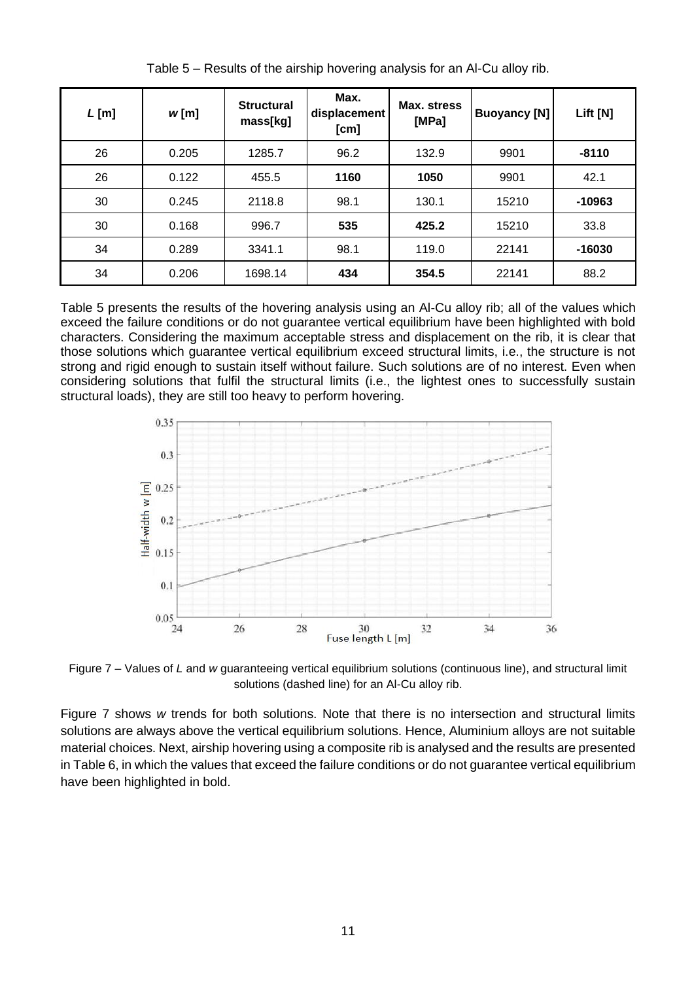| $L$ [m] | w[m]  | <b>Structural</b><br>mass[kg] | Max.<br>displacement<br>[cm] | Max. stress<br>[MPa] | <b>Buoyancy [N]</b> | Lift [N] |
|---------|-------|-------------------------------|------------------------------|----------------------|---------------------|----------|
| 26      | 0.205 | 1285.7                        | 96.2                         | 132.9                | 9901                | $-8110$  |
| 26      | 0.122 | 455.5                         | 1160                         | 1050                 | 9901                | 42.1     |
| 30      | 0.245 | 2118.8                        | 98.1                         | 130.1                | 15210               | -10963   |
| 30      | 0.168 | 996.7                         | 535                          | 425.2                | 15210               | 33.8     |
| 34      | 0.289 | 3341.1                        | 98.1                         | 119.0                | 22141               | $-16030$ |
| 34      | 0.206 | 1698.14                       | 434                          | 354.5                | 22141               | 88.2     |

Table 5 – Results of the airship hovering analysis for an Al-Cu alloy rib.

Table 5 presents the results of the hovering analysis using an Al-Cu alloy rib; all of the values which exceed the failure conditions or do not guarantee vertical equilibrium have been highlighted with bold characters. Considering the maximum acceptable stress and displacement on the rib, it is clear that those solutions which guarantee vertical equilibrium exceed structural limits, i.e., the structure is not strong and rigid enough to sustain itself without failure. Such solutions are of no interest. Even when considering solutions that fulfil the structural limits (i.e., the lightest ones to successfully sustain structural loads), they are still too heavy to perform hovering.



Figure 7 – Values of *L* and *w* guaranteeing vertical equilibrium solutions (continuous line), and structural limit solutions (dashed line) for an Al-Cu alloy rib.

Figure 7 shows *w* trends for both solutions. Note that there is no intersection and structural limits solutions are always above the vertical equilibrium solutions. Hence, Aluminium alloys are not suitable material choices. Next, airship hovering using a composite rib is analysed and the results are presented in Table 6, in which the values that exceed the failure conditions or do not guarantee vertical equilibrium have been highlighted in bold.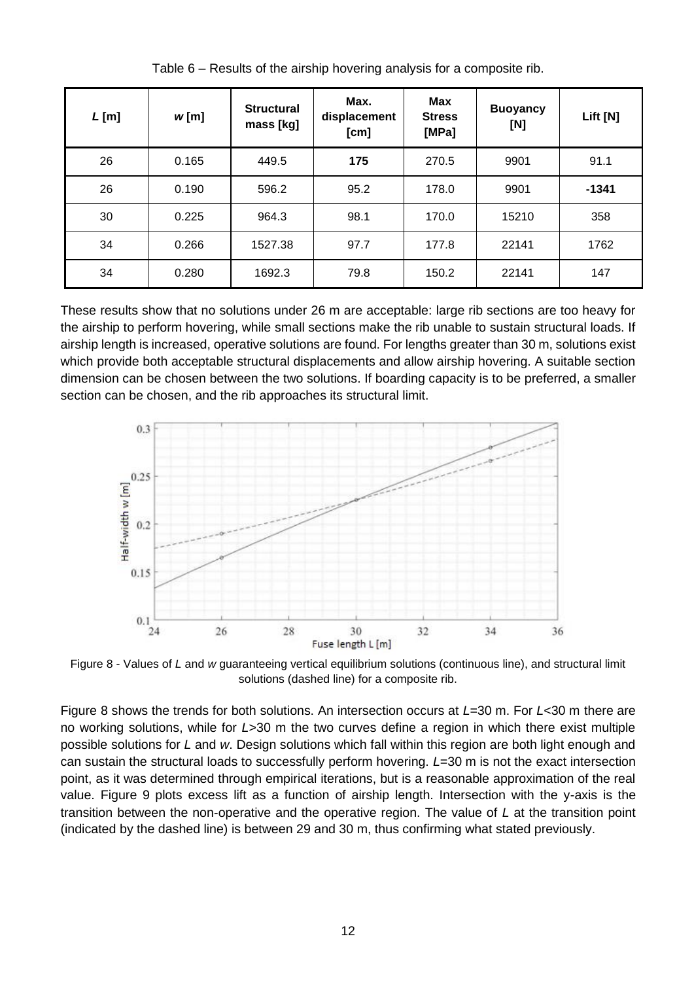| $L$ [m] | w[m]  | <b>Structural</b><br>mass [kg] | Max.<br>displacement<br>[cm] | <b>Max</b><br><b>Stress</b><br>[MPa] | <b>Buoyancy</b><br>[N] | Lift [N] |
|---------|-------|--------------------------------|------------------------------|--------------------------------------|------------------------|----------|
| 26      | 0.165 | 449.5                          | 175                          | 270.5                                | 9901                   | 91.1     |
| 26      | 0.190 | 596.2                          | 95.2                         | 178.0                                | 9901                   | $-1341$  |
| 30      | 0.225 | 964.3                          | 98.1                         | 170.0                                | 15210                  | 358      |
| 34      | 0.266 | 1527.38                        | 97.7                         | 177.8                                | 22141                  | 1762     |
| 34      | 0.280 | 1692.3                         | 79.8                         | 150.2                                | 22141                  | 147      |

Table 6 – Results of the airship hovering analysis for a composite rib.

These results show that no solutions under 26 m are acceptable: large rib sections are too heavy for the airship to perform hovering, while small sections make the rib unable to sustain structural loads. If airship length is increased, operative solutions are found. For lengths greater than 30 m, solutions exist which provide both acceptable structural displacements and allow airship hovering. A suitable section dimension can be chosen between the two solutions. If boarding capacity is to be preferred, a smaller section can be chosen, and the rib approaches its structural limit.



Figure 8 - Values of *L* and *w* guaranteeing vertical equilibrium solutions (continuous line), and structural limit solutions (dashed line) for a composite rib.

Figure 8 shows the trends for both solutions. An intersection occurs at *L*=30 m. For *L*<30 m there are no working solutions, while for *L*>30 m the two curves define a region in which there exist multiple possible solutions for *L* and *w*. Design solutions which fall within this region are both light enough and can sustain the structural loads to successfully perform hovering. *L*=30 m is not the exact intersection point, as it was determined through empirical iterations, but is a reasonable approximation of the real value. Figure 9 plots excess lift as a function of airship length. Intersection with the y-axis is the transition between the non-operative and the operative region. The value of *L* at the transition point (indicated by the dashed line) is between 29 and 30 m, thus confirming what stated previously.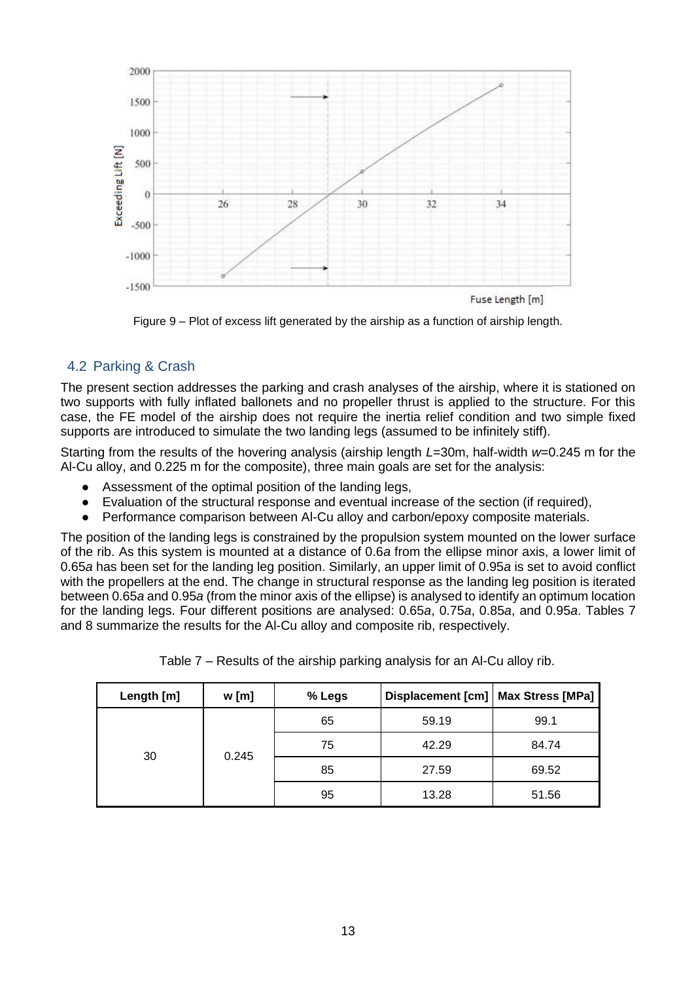

Figure 9 – Plot of excess lift generated by the airship as a function of airship length.

## 4.2 Parking & Crash

The present section addresses the parking and crash analyses of the airship, where it is stationed on two supports with fully inflated ballonets and no propeller thrust is applied to the structure. For this case, the FE model of the airship does not require the inertia relief condition and two simple fixed supports are introduced to simulate the two landing legs (assumed to be infinitely stiff).

Starting from the results of the hovering analysis (airship length *L*=30m, half-width *w*=0.245 m for the Al-Cu alloy, and 0.225 m for the composite), three main goals are set for the analysis:

- Assessment of the optimal position of the landing legs,
- Evaluation of the structural response and eventual increase of the section (if required),
- Performance comparison between Al-Cu alloy and carbon/epoxy composite materials.

The position of the landing legs is constrained by the propulsion system mounted on the lower surface of the rib. As this system is mounted at a distance of 0.6*a* from the ellipse minor axis, a lower limit of 0.65*a* has been set for the landing leg position. Similarly, an upper limit of 0.95*a* is set to avoid conflict with the propellers at the end. The change in structural response as the landing leg position is iterated between 0.65*a* and 0.95*a* (from the minor axis of the ellipse) is analysed to identify an optimum location for the landing legs. Four different positions are analysed: 0.65*a*, 0.75*a*, 0.85*a*, and 0.95*a*. Tables 7 and 8 summarize the results for the Al-Cu alloy and composite rib, respectively.

| Length [m] | w[m]  | % Legs | Displacement [cm]   Max Stress [MPa] |       |
|------------|-------|--------|--------------------------------------|-------|
| 30         |       | 65     | 59.19                                | 99.1  |
|            | 0.245 | 75     | 42.29                                | 84.74 |
|            |       | 85     | 27.59                                | 69.52 |
|            |       | 95     | 13.28                                | 51.56 |

| Table 7 – Results of the airship parking analysis for an Al-Cu alloy rib. |  |  |  |  |  |
|---------------------------------------------------------------------------|--|--|--|--|--|
|                                                                           |  |  |  |  |  |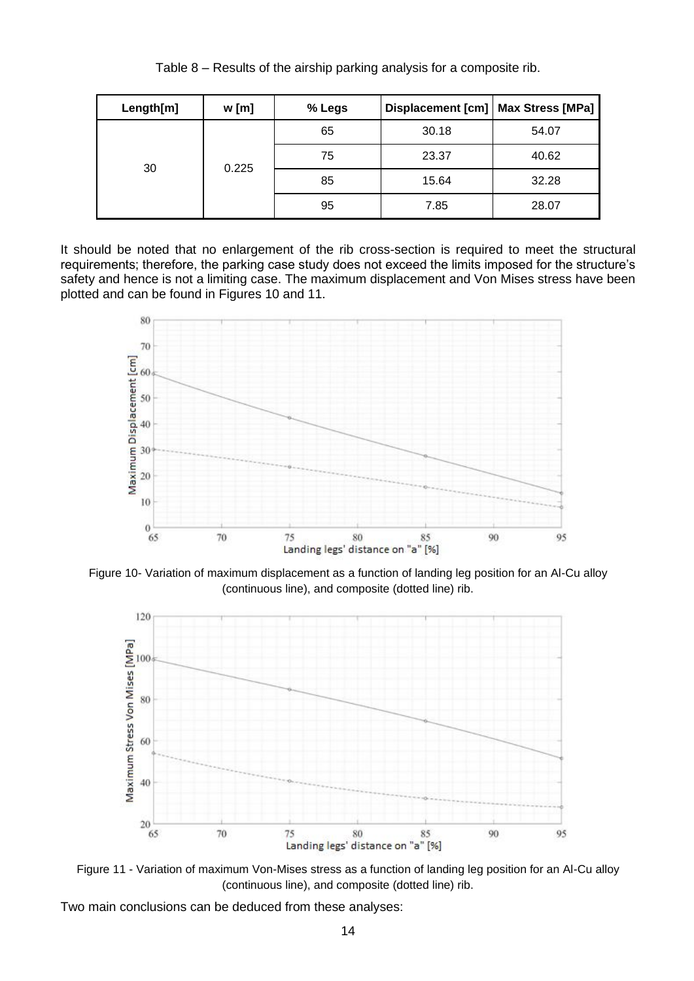| Length[m] | w[m]  | % Legs | Displacement [cm]   Max Stress [MPa] |       |
|-----------|-------|--------|--------------------------------------|-------|
| 30        |       | 65     | 30.18                                | 54.07 |
|           | 0.225 | 75     | 23.37                                | 40.62 |
|           |       | 85     | 15.64                                | 32.28 |
|           |       | 95     | 7.85                                 | 28.07 |

Table 8 – Results of the airship parking analysis for a composite rib.

It should be noted that no enlargement of the rib cross-section is required to meet the structural requirements; therefore, the parking case study does not exceed the limits imposed for the structure's safety and hence is not a limiting case. The maximum displacement and Von Mises stress have been plotted and can be found in Figures 10 and 11.



Figure 10- Variation of maximum displacement as a function of landing leg position for an Al-Cu alloy (continuous line), and composite (dotted line) rib.



Figure 11 - Variation of maximum Von-Mises stress as a function of landing leg position for an Al-Cu alloy (continuous line), and composite (dotted line) rib.

Two main conclusions can be deduced from these analyses: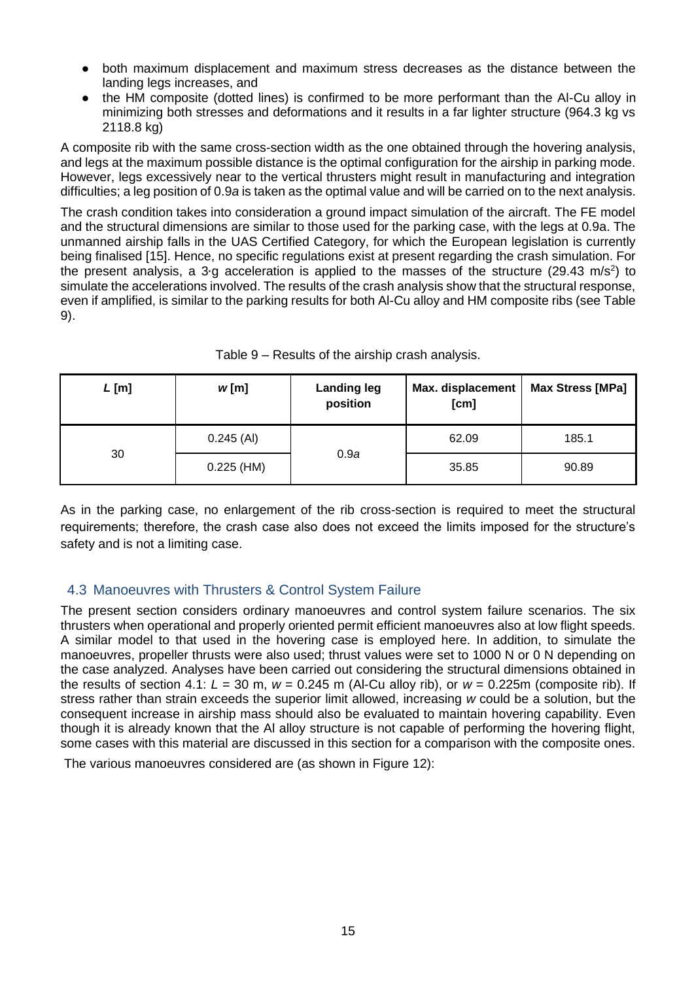- both maximum displacement and maximum stress decreases as the distance between the landing legs increases, and
- the HM composite (dotted lines) is confirmed to be more performant than the Al-Cu alloy in minimizing both stresses and deformations and it results in a far lighter structure (964.3 kg vs 2118.8 kg)

A composite rib with the same cross-section width as the one obtained through the hovering analysis, and legs at the maximum possible distance is the optimal configuration for the airship in parking mode. However, legs excessively near to the vertical thrusters might result in manufacturing and integration difficulties; a leg position of 0.9*a* is taken as the optimal value and will be carried on to the next analysis.

The crash condition takes into consideration a ground impact simulation of the aircraft. The FE model and the structural dimensions are similar to those used for the parking case, with the legs at 0.9a. The unmanned airship falls in the UAS Certified Category, for which the European legislation is currently being finalised [15]. Hence, no specific regulations exist at present regarding the crash simulation. For the present analysis, a 3⋅g acceleration is applied to the masses of the structure (29.43 m/s<sup>2</sup>) to simulate the accelerations involved. The results of the crash analysis show that the structural response, even if amplified, is similar to the parking results for both Al-Cu alloy and HM composite ribs (see Table 9).

| $L$ [m] | w[m]         | <b>Landing leg</b><br>position | Max. displacement<br>[cm] | <b>Max Stress [MPa]</b> |
|---------|--------------|--------------------------------|---------------------------|-------------------------|
|         | $0.245$ (AI) |                                | 62.09                     | 185.1                   |
| 30      | $0.225$ (HM) | 0.9a                           | 35.85                     | 90.89                   |

Table 9 – Results of the airship crash analysis.

As in the parking case, no enlargement of the rib cross-section is required to meet the structural requirements; therefore, the crash case also does not exceed the limits imposed for the structure's safety and is not a limiting case.

## 4.3 Manoeuvres with Thrusters & Control System Failure

The present section considers ordinary manoeuvres and control system failure scenarios. The six thrusters when operational and properly oriented permit efficient manoeuvres also at low flight speeds. A similar model to that used in the hovering case is employed here. In addition, to simulate the manoeuvres, propeller thrusts were also used; thrust values were set to 1000 N or 0 N depending on the case analyzed. Analyses have been carried out considering the structural dimensions obtained in the results of section 4.1:  $L = 30$  m,  $w = 0.245$  m (Al-Cu alloy rib), or  $w = 0.225$ m (composite rib). If stress rather than strain exceeds the superior limit allowed, increasing *w* could be a solution, but the consequent increase in airship mass should also be evaluated to maintain hovering capability. Even though it is already known that the Al alloy structure is not capable of performing the hovering flight, some cases with this material are discussed in this section for a comparison with the composite ones.

The various manoeuvres considered are (as shown in Figure 12):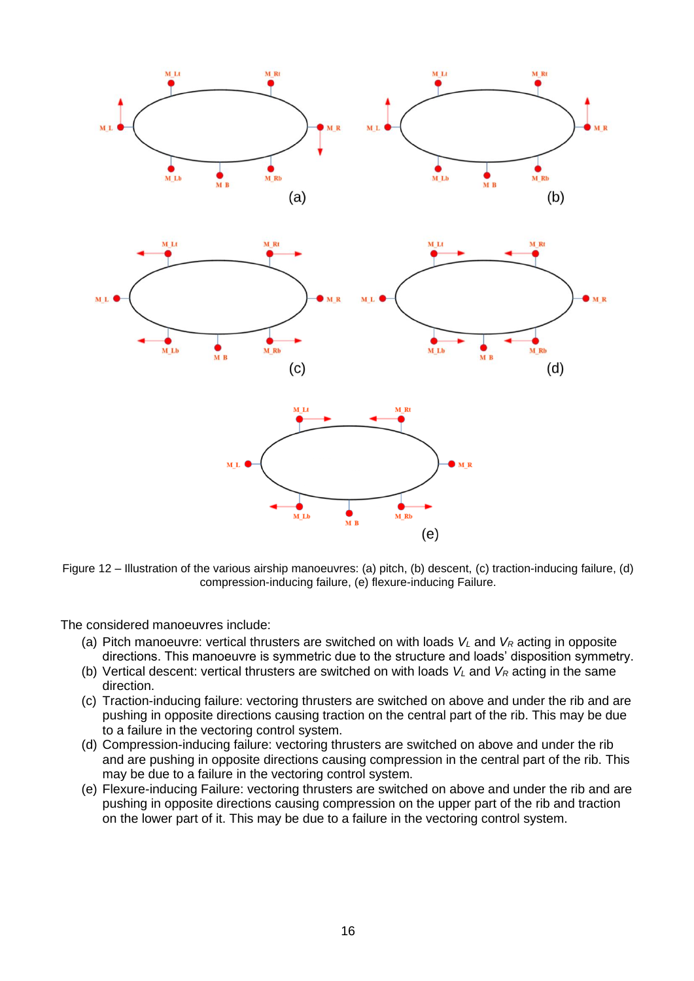

Figure 12 – Illustration of the various airship manoeuvres: (a) pitch, (b) descent, (c) traction-inducing failure, (d) compression-inducing failure, (e) flexure-inducing Failure.

The considered manoeuvres include:

- (a) Pitch manoeuvre: vertical thrusters are switched on with loads *V<sup>L</sup>* and *V<sup>R</sup>* acting in opposite directions. This manoeuvre is symmetric due to the structure and loads' disposition symmetry.
- (b) Vertical descent: vertical thrusters are switched on with loads  $V_L$  and  $V_R$  acting in the same direction.
- (c) Traction-inducing failure: vectoring thrusters are switched on above and under the rib and are pushing in opposite directions causing traction on the central part of the rib. This may be due to a failure in the vectoring control system.
- (d) Compression-inducing failure: vectoring thrusters are switched on above and under the rib and are pushing in opposite directions causing compression in the central part of the rib. This may be due to a failure in the vectoring control system.
- (e) Flexure-inducing Failure: vectoring thrusters are switched on above and under the rib and are pushing in opposite directions causing compression on the upper part of the rib and traction on the lower part of it. This may be due to a failure in the vectoring control system.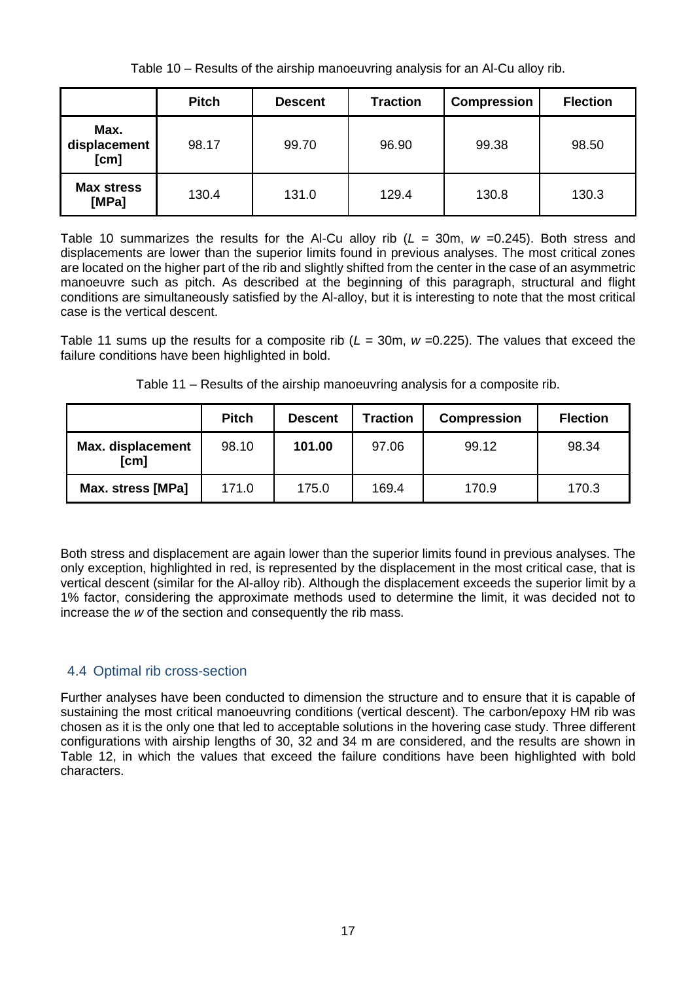Table 10 – Results of the airship manoeuvring analysis for an Al-Cu alloy rib.

|                              | <b>Pitch</b> | <b>Descent</b> | <b>Traction</b> | <b>Compression</b> | <b>Flection</b> |
|------------------------------|--------------|----------------|-----------------|--------------------|-----------------|
| Max.<br>displacement<br>[cm] | 98.17        | 99.70          | 96.90           | 99.38              | 98.50           |
| <b>Max stress</b><br>[MPa]   | 130.4        | 131.0          | 129.4           | 130.8              | 130.3           |

Table 10 summarizes the results for the Al-Cu alloy rib (*L* = 30m, *w* =0.245). Both stress and displacements are lower than the superior limits found in previous analyses. The most critical zones are located on the higher part of the rib and slightly shifted from the center in the case of an asymmetric manoeuvre such as pitch. As described at the beginning of this paragraph, structural and flight conditions are simultaneously satisfied by the Al-alloy, but it is interesting to note that the most critical case is the vertical descent.

Table 11 sums up the results for a composite rib (*L* = 30m, *w* =0.225). The values that exceed the failure conditions have been highlighted in bold.

|                           | <b>Pitch</b> | <b>Descent</b> | <b>Traction</b> | <b>Compression</b> | <b>Flection</b> |
|---------------------------|--------------|----------------|-----------------|--------------------|-----------------|
| Max. displacement<br>[cm] | 98.10        | 101.00         | 97.06           | 99.12              | 98.34           |
| Max. stress [MPa]         | 171.0        | 175.0          | 169.4           | 170.9              | 170.3           |

Table 11 – Results of the airship manoeuvring analysis for a composite rib.

Both stress and displacement are again lower than the superior limits found in previous analyses. The only exception, highlighted in red, is represented by the displacement in the most critical case, that is vertical descent (similar for the Al-alloy rib). Although the displacement exceeds the superior limit by a 1% factor, considering the approximate methods used to determine the limit, it was decided not to increase the *w* of the section and consequently the rib mass.

# 4.4 Optimal rib cross-section

Further analyses have been conducted to dimension the structure and to ensure that it is capable of sustaining the most critical manoeuvring conditions (vertical descent). The carbon/epoxy HM rib was chosen as it is the only one that led to acceptable solutions in the hovering case study. Three different configurations with airship lengths of 30, 32 and 34 m are considered, and the results are shown in Table 12, in which the values that exceed the failure conditions have been highlighted with bold characters.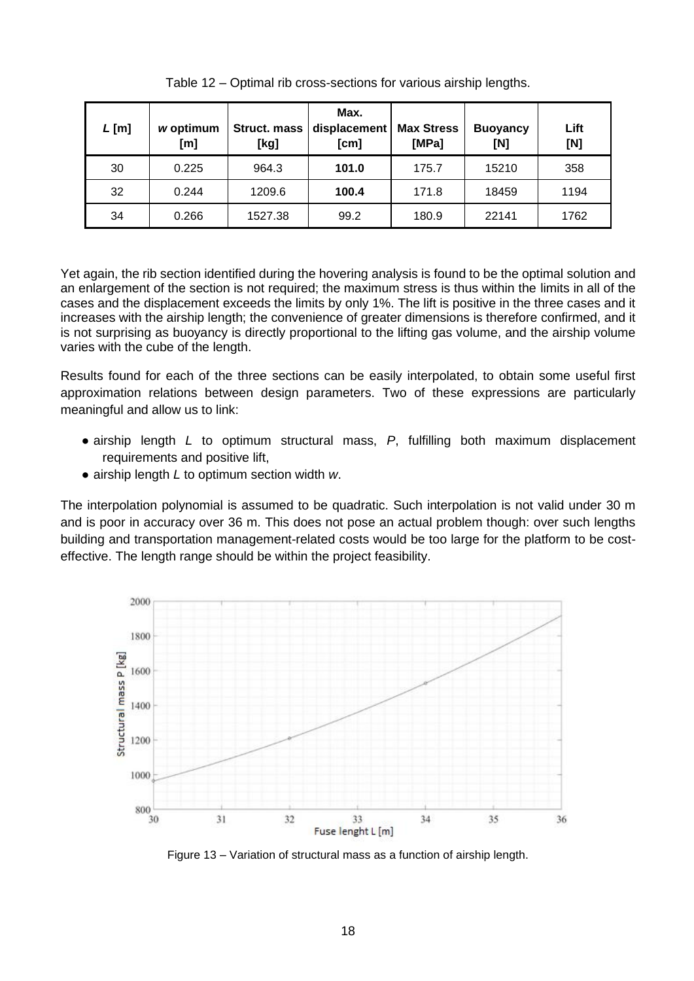| $L$ [m] | w optimum<br>[m] | <b>Struct. mass</b><br>[kg] | Max.<br>displacement<br>[cm] | <b>Max Stress</b><br>[MPa] | <b>Buoyancy</b><br>[N] | Lift<br>[N] |
|---------|------------------|-----------------------------|------------------------------|----------------------------|------------------------|-------------|
| 30      | 0.225            | 964.3                       | 101.0                        | 175.7                      | 15210                  | 358         |
| 32      | 0.244            | 1209.6                      | 100.4                        | 171.8                      | 18459                  | 1194        |
| 34      | 0.266            | 1527.38                     | 99.2                         | 180.9                      | 22141                  | 1762        |

Table 12 – Optimal rib cross-sections for various airship lengths.

Yet again, the rib section identified during the hovering analysis is found to be the optimal solution and an enlargement of the section is not required; the maximum stress is thus within the limits in all of the cases and the displacement exceeds the limits by only 1%. The lift is positive in the three cases and it increases with the airship length; the convenience of greater dimensions is therefore confirmed, and it is not surprising as buoyancy is directly proportional to the lifting gas volume, and the airship volume varies with the cube of the length.

Results found for each of the three sections can be easily interpolated, to obtain some useful first approximation relations between design parameters. Two of these expressions are particularly meaningful and allow us to link:

- airship length *L* to optimum structural mass, *P*, fulfilling both maximum displacement requirements and positive lift,
- airship length *L* to optimum section width *w*.

The interpolation polynomial is assumed to be quadratic. Such interpolation is not valid under 30 m and is poor in accuracy over 36 m. This does not pose an actual problem though: over such lengths building and transportation management-related costs would be too large for the platform to be costeffective. The length range should be within the project feasibility.



Figure 13 – Variation of structural mass as a function of airship length.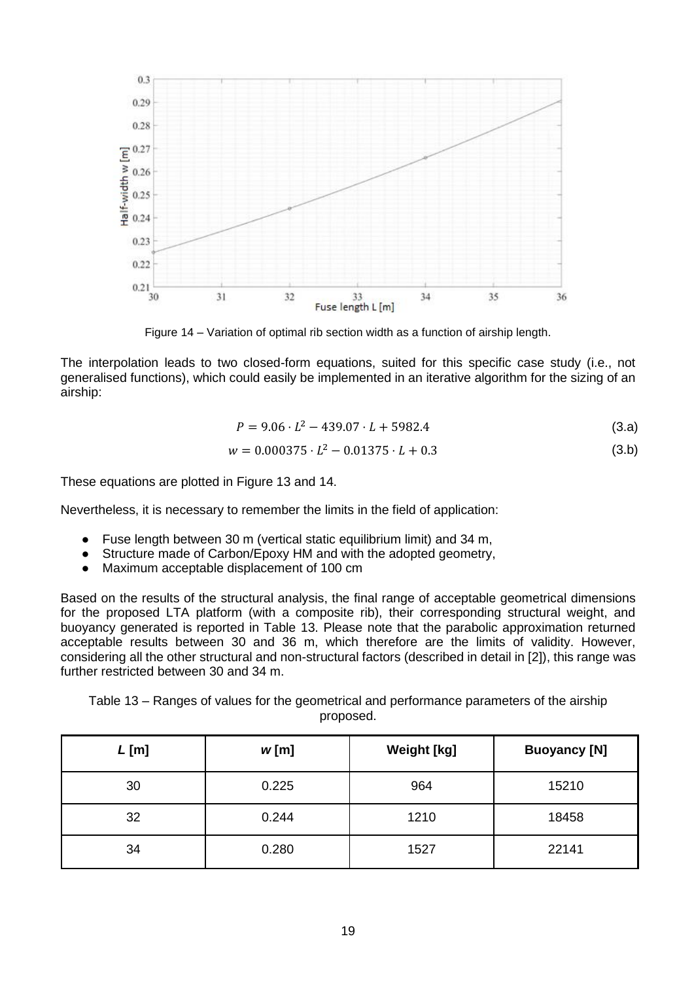

Figure 14 – Variation of optimal rib section width as a function of airship length.

The interpolation leads to two closed-form equations, suited for this specific case study (i.e., not generalised functions), which could easily be implemented in an iterative algorithm for the sizing of an airship:

$$
P = 9.06 \cdot L^2 - 439.07 \cdot L + 5982.4 \tag{3.3}
$$

$$
w = 0.000375 \cdot L^2 - 0.01375 \cdot L + 0.3 \tag{3.b}
$$

These equations are plotted in Figure 13 and 14.

Nevertheless, it is necessary to remember the limits in the field of application:

- Fuse length between 30 m (vertical static equilibrium limit) and 34 m,
- Structure made of Carbon/Epoxy HM and with the adopted geometry,
- Maximum acceptable displacement of 100 cm

Based on the results of the structural analysis, the final range of acceptable geometrical dimensions for the proposed LTA platform (with a composite rib), their corresponding structural weight, and buoyancy generated is reported in Table 13. Please note that the parabolic approximation returned acceptable results between 30 and 36 m, which therefore are the limits of validity. However, considering all the other structural and non-structural factors (described in detail in [2]), this range was further restricted between 30 and 34 m.

Table 13 – Ranges of values for the geometrical and performance parameters of the airship proposed.

| $L$ [m] | w[m]  | <b>Weight [kg]</b> | <b>Buoyancy [N]</b> |
|---------|-------|--------------------|---------------------|
| 30      | 0.225 | 964                | 15210               |
| 32      | 0.244 | 1210               | 18458               |
| 34      | 0.280 | 1527               | 22141               |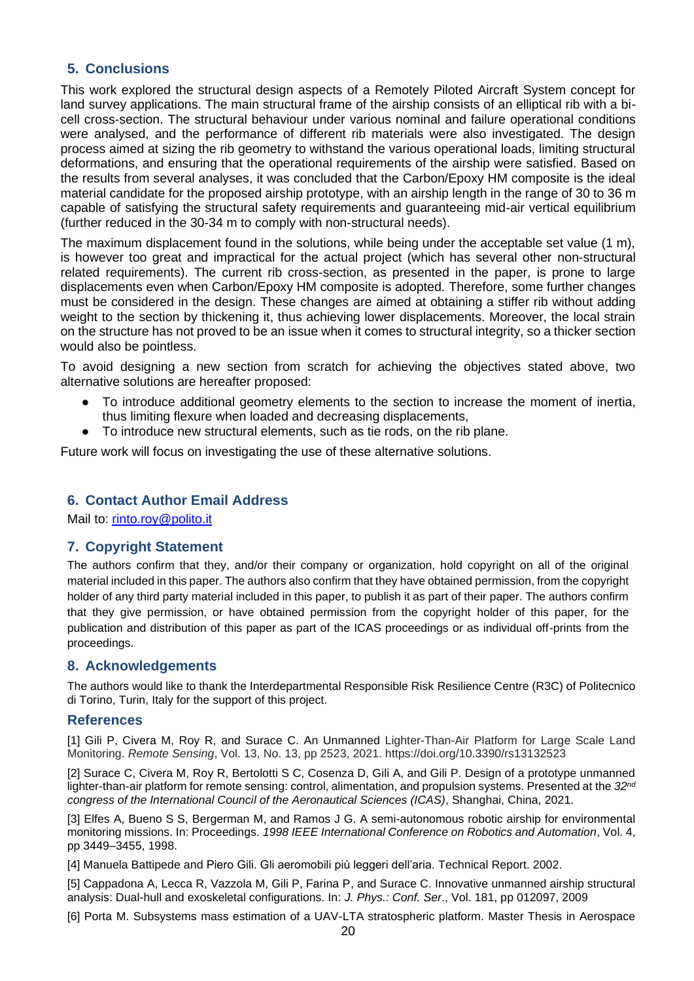### **5. Conclusions**

This work explored the structural design aspects of a Remotely Piloted Aircraft System concept for land survey applications. The main structural frame of the airship consists of an elliptical rib with a bicell cross-section. The structural behaviour under various nominal and failure operational conditions were analysed, and the performance of different rib materials were also investigated. The design process aimed at sizing the rib geometry to withstand the various operational loads, limiting structural deformations, and ensuring that the operational requirements of the airship were satisfied. Based on the results from several analyses, it was concluded that the Carbon/Epoxy HM composite is the ideal material candidate for the proposed airship prototype, with an airship length in the range of 30 to 36 m capable of satisfying the structural safety requirements and guaranteeing mid-air vertical equilibrium (further reduced in the 30-34 m to comply with non-structural needs).

The maximum displacement found in the solutions, while being under the acceptable set value (1 m), is however too great and impractical for the actual project (which has several other non-structural related requirements). The current rib cross-section, as presented in the paper, is prone to large displacements even when Carbon/Epoxy HM composite is adopted. Therefore, some further changes must be considered in the design. These changes are aimed at obtaining a stiffer rib without adding weight to the section by thickening it, thus achieving lower displacements. Moreover, the local strain on the structure has not proved to be an issue when it comes to structural integrity, so a thicker section would also be pointless.

To avoid designing a new section from scratch for achieving the objectives stated above, two alternative solutions are hereafter proposed:

- To introduce additional geometry elements to the section to increase the moment of inertia, thus limiting flexure when loaded and decreasing displacements,
- To introduce new structural elements, such as tie rods, on the rib plane.

Future work will focus on investigating the use of these alternative solutions.

#### **6. Contact Author Email Address**

Mail to: [rinto.roy@polito.it](mailto:rinto.roy@polito.it)

#### **7. Copyright Statement**

The authors confirm that they, and/or their company or organization, hold copyright on all of the original material included in this paper. The authors also confirm that they have obtained permission, from the copyright holder of any third party material included in this paper, to publish it as part of their paper. The authors confirm that they give permission, or have obtained permission from the copyright holder of this paper, for the publication and distribution of this paper as part of the ICAS proceedings or as individual off-prints from the proceedings.

#### **8. Acknowledgements**

The authors would like to thank the Interdepartmental Responsible Risk Resilience Centre (R3C) of Politecnico di Torino, Turin, Italy for the support of this project.

#### **References**

[1] Gili P, Civera M, Roy R, and Surace C. An Unmanned Lighter-Than-Air Platform for Large Scale Land Monitoring. *Remote Sensing*, Vol. 13, No. 13, pp 2523, 2021. https://doi.org/10.3390/rs13132523

[2] Surace C, Civera M, Roy R, Bertolotti S C, Cosenza D, Gili A, and Gili P. Design of a prototype unmanned lighter-than-air platform for remote sensing: control, alimentation, and propulsion systems. Presented at the *32nd congress of the International Council of the Aeronautical Sciences (ICAS)*, Shanghai, China, 2021.

[3] Elfes A, Bueno S S, Bergerman M, and Ramos J G. A semi-autonomous robotic airship for environmental monitoring missions. In: Proceedings. *1998 IEEE International Conference on Robotics and Automation*, Vol. 4, pp 3449–3455, 1998.

[4] Manuela Battipede and Piero Gili. Gli aeromobili più leggeri dell'aria. Technical Report. 2002.

[5] Cappadona A, Lecca R, Vazzola M, Gili P, Farina P, and Surace C. Innovative unmanned airship structural analysis: Dual-hull and exoskeletal configurations. In: *J. Phys.: Conf. Ser*., Vol. 181, pp 012097, 2009

[6] Porta M. Subsystems mass estimation of a UAV-LTA stratospheric platform. Master Thesis in Aerospace